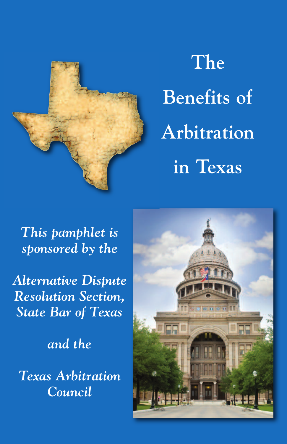

# **The Benefits of Arbitration in Texas**

*This pamphlet is sponsored by the*

*Alternative Dispute Resolution Section, State Bar of Texas*

*and the*

*Texas Arbitration Council*

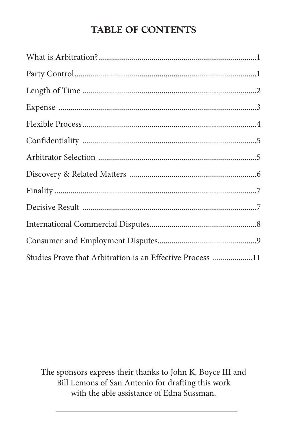#### **TABLE OF CONTENTS**

| Studies Prove that Arbitration is an Effective Process 11 |  |
|-----------------------------------------------------------|--|

The sponsors express their thanks to John K. Boyce III and Bill Lemons of San Antonio for drafting this work with the able assistance of Edna Sussman.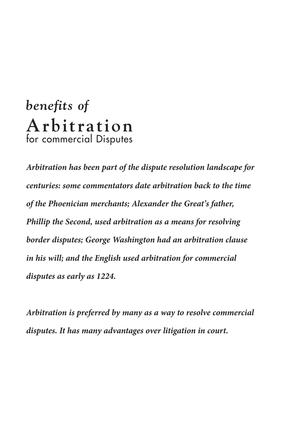## *benefits of* **Arbitr a tion** for commercial Disputes

*Arbitration has been part of the dispute resolution landscape for centuries: some commentators date arbitration back to the time of the Phoenician merchants; Alexander the Great's father, Phillip the Second, used arbitration as a means for resolving border disputes; George Washington had an arbitration clause in his will; and the English used arbitration for commercial disputes as early as 1224.*

*Arbitration is preferred by many as a way to resolve commercial disputes. It has many advantages over litigation in court.*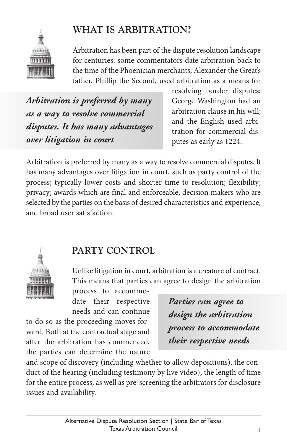

#### **WHAT IS ARBITRATION?**

Arbitration has been part of the dispute resolution landscape for centuries: some commentators date arbitration back to the time of the Phoenician merchants; Alexander the Great's father, Phillip the Second, used arbitration as a means for

*Arbitration is preferred by many as a way to resolve commercial disputes. It has many advantages over litigation in court*

resolving border disputes; George Washington had an arbitration clause in his will; and the English used arbitration for commercial disputes as early as 1224.

Arbitration is preferred by many as a way to resolve commercial disputes. It has many advantages over litigation in court, such as party control of the process; typically lower costs and shorter time to resolution; flexibility; privacy; awards which are final and enforceable; decision makers who are selected by the parties on the basis of desired characteristics and experience; and broad user satisfaction.



#### **PARTY CONTROL**

Unlike litigation in court, arbitration is a creature of contract. This means that parties can agree to design the arbitration

process to accommodate their respective needs and can continue

to do so as the proceeding moves forward. Both at the contractual stage and after the arbitration has commenced, the parties can determine the nature *Parties can agree to design the arbitration process to accommodate their respective needs*

and scope of discovery (including whether to allow depositions), the conduct of the hearing (including testimony by live video), the length of time for the entire process, as well as pre-screening the arbitrators for disclosure issues and availability.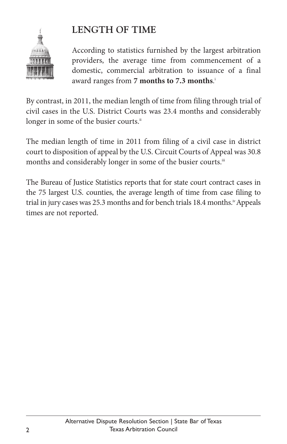

#### **LENGTH OF TIME**

According to statistics furnished by the largest arbitration providers, the average time from commencement of a domestic, commercial arbitration to issuance of a final award ranges from **7 months to 7.3 months**. i

By contrast, in 2011, the median length of time from filing through trial of civil cases in the U.S. District Courts was 23.4 months and considerably longer in some of the busier courts."

The median length of time in 2011 from filing of a civil case in district court to disposition of appeal by the U.S. Circuit Courts of Appeal was 30.8 months and considerably longer in some of the busier courts.<sup>ii</sup>

The Bureau of Justice Statistics reports that for state court contract cases in the 75 largest U.S. counties, the average length of time from case filing to trial in jury cases was 25.3 months and for bench trials 18.4 months.<sup>i</sup> Appeals times are not reported.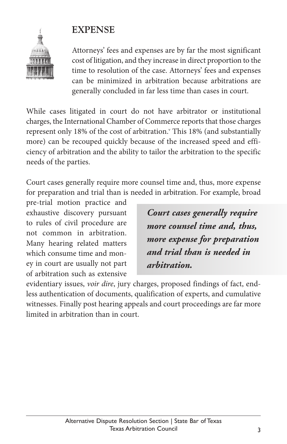#### **EXPENSE**



Attorneys' fees and expenses are by far the most significant cost of litigation, and they increase in direct proportion to the time to resolution of the case. Attorneys' fees and expenses can be minimized in arbitration because arbitrations are generally concluded in far less time than cases in court.

While cases litigated in court do not have arbitrator or institutional charges, the International Chamber of Commerce reports that those charges represent only 18% of the cost of arbitration. <sup>v</sup> This 18% (and substantially more) can be recouped quickly because of the increased speed and efficiency of arbitration and the ability to tailor the arbitration to the specific needs of the parties.

Court cases generally require more counsel time and, thus, more expense for preparation and trial than is needed in arbitration. For example, broad

pre-trial motion practice and exhaustive discovery pursuant to rules of civil procedure are not common in arbitration. Many hearing related matters which consume time and money in court are usually not part of arbitration such as extensive

*Court cases generally require more counsel time and, thus, more expense for preparation and trial than is needed in arbitration.*

evidentiary issues, *voir dire*, jury charges, proposed findings of fact, endless authentication of documents, qualification of experts, and cumulative witnesses. Finally post hearing appeals and court proceedings are far more limited in arbitration than in court.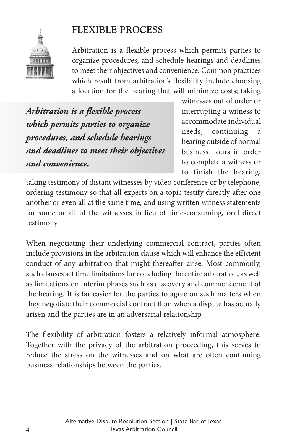

#### **FLEXIBLE PROCESS**

Arbitration is a flexible process which permits parties to organize procedures, and schedule hearings and deadlines to meet their objectives and convenience. Common practices which result from arbitration's flexibility include choosing a location for the hearing that will minimize costs; taking

*Arbitration is a flexible process which permits parties to organize procedures, and schedule hearings and deadlines to meet their objectives and convenience.*

witnesses out of order or interrupting a witness to accommodate individual needs; continuing hearing outside of normal business hours in order to complete a witness or to finish the hearing;

taking testimony of distant witnesses by video conference or by telephone; ordering testimony so that all experts on a topic testify directly after one another or even all at the same time; and using written witness statements for some or all of the witnesses in lieu of time-consuming, oral direct testimony.

When negotiating their underlying commercial contract, parties often include provisions in the arbitration clause which will enhance the efficient conduct of any arbitration that might thereafter arise. Most commonly, such clauses set time limitations for concluding the entire arbitration, as well as limitations on interim phases such as discovery and commencement of the hearing. It is far easier for the parties to agree on such matters when they negotiate their commercial contract than when a dispute has actually arisen and the parties are in an adversarial relationship.

The flexibility of arbitration fosters a relatively informal atmosphere. Together with the privacy of the arbitration proceeding, this serves to reduce the stress on the witnesses and on what are often continuing business relationships between the parties.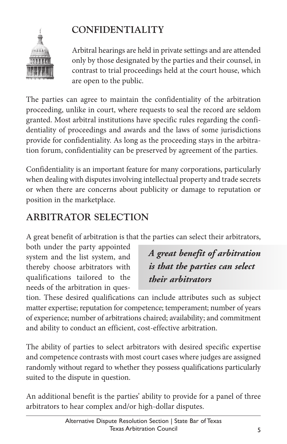### **CONFIDENTIALITY**



Arbitral hearings are held in private settings and are attended only by those designated by the parties and their counsel, in contrast to trial proceedings held at the court house, which are open to the public.

The parties can agree to maintain the confidentiality of the arbitration proceeding, unlike in court, where requests to seal the record are seldom granted. Most arbitral institutions have specific rules regarding the confidentiality of proceedings and awards and the laws of some jurisdictions provide for confidentiality. As long as the proceeding stays in the arbitration forum, confidentiality can be preserved by agreement of the parties.

Confidentiality is an important feature for many corporations, particularly when dealing with disputes involving intellectual property and trade secrets or when there are concerns about publicity or damage to reputation or position in the marketplace.

#### **ARBITRATOR SELECTION**

A great benefit of arbitration is that the parties can select their arbitrators,

both under the party appointed system and the list system, and thereby choose arbitrators with qualifications tailored to the needs of the arbitration in ques-

*A great benefit of arbitration is that the parties can select their arbitrators*

tion. These desired qualifications can include attributes such as subject matter expertise; reputation for competence; temperament; number of years of experience; number of arbitrations chaired; availability; and commitment and ability to conduct an efficient, cost-effective arbitration.

The ability of parties to select arbitrators with desired specific expertise and competence contrasts with most court cases where judges are assigned randomly without regard to whether they possess qualifications particularly suited to the dispute in question.

An additional benefit is the parties' ability to provide for a panel of three arbitrators to hear complex and/or high-dollar disputes.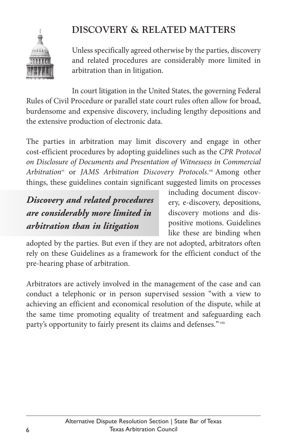

#### **DISCOVERY & RELATED MATTERS**

Unless specifically agreed otherwise by the parties, discovery and related procedures are considerably more limited in arbitration than in litigation.

In court litigation in the United States, the governing Federal Rules of Civil Procedure or parallel state court rules often allow for broad, burdensome and expensive discovery, including lengthy depositions and the extensive production of electronic data.

The parties in arbitration may limit discovery and engage in other cost-efficient procedures by adopting guidelines such as the *CPR Protocol on Disclosure of Documents and Presentation of Witnessess in Commercial Arbitration*vi or *JAMS Arbitration Discovery Protocols*. vii Among other things, these guidelines contain significant suggested limits on processes

*Discovery and related procedures are considerably more limited in arbitration than in litigation*

including document discovery, e-discovery, depositions, discovery motions and dispositive motions. Guidelines like these are binding when

adopted by the parties. But even if they are not adopted, arbitrators often rely on these Guidelines as a framework for the efficient conduct of the pre-hearing phase of arbitration.

Arbitrators are actively involved in the management of the case and can conduct a telephonic or in person supervised session "with a view to achieving an efficient and economical resolution of the dispute, while at the same time promoting equality of treatment and safeguarding each party's opportunity to fairly present its claims and defenses." viii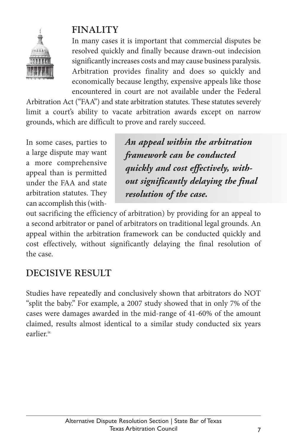

#### **FINALITY**

In many cases it is important that commercial disputes be resolved quickly and finally because drawn-out indecision significantly increases costs and may cause business paralysis. Arbitration provides finality and does so quickly and economically because lengthy, expensive appeals like those encountered in court are not available under the Federal

Arbitration Act ("FAA") and state arbitration statutes. These statutes severely limit a court's ability to vacate arbitration awards except on narrow grounds, which are difficult to prove and rarely succeed.

In some cases, parties to a large dispute may want a more comprehensive appeal than is permitted under the FAA and state arbitration statutes. They can accomplish this(with-

*An appeal within the arbitration framework can be conducted quickly and cost effectively, without significantly delaying the final resolution of the case.*

out sacrificing the efficiency of arbitration) by providing for an appeal to a second arbitrator or panel of arbitrators on traditional legal grounds. An appeal within the arbitration framework can be conducted quickly and cost effectively, without significantly delaying the final resolution of the case.

#### **DECISIVE RESULT**

Studies have repeatedly and conclusively shown that arbitrators do NOT "split the baby." For example, a 2007 study showed that in only 7% of the cases were damages awarded in the mid-range of 41-60% of the amount claimed, results almost identical to a similar study conducted six years earlier. ix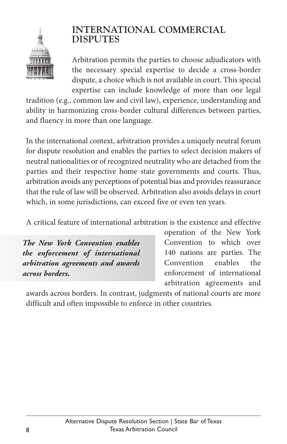

#### **INTERNATIONAL COMMERCIAL DISPUTES**

Arbitration permits the parties to choose adjudicators with the necessary special expertise to decide a cross-border dispute, a choice which is not available in court. This special expertise can include knowledge of more than one legal

tradition (e.g., common law and civil law), experience, understanding and ability in harmonizing cross-border cultural differences between parties, and fluency in more than one language.

In the international context, arbitration provides a uniquely neutral forum for dispute resolution and enables the parties to select decision makers of neutral nationalities or of recognized neutrality who are detached from the parties and their respective home state governments and courts. Thus, arbitration avoids any perceptions of potential bias and provides reassurance that the rule of law will be observed. Arbitration also avoids delays in court which, in some jurisdictions, can exceed five or even ten years.

A critical feature of international arbitration is the existence and effective

*The New York Convention enables the enforcement of international arbitration agreements and awards across borders.*

operation of the New York Convention to which over 140 nations are parties. The Convention enables the enforcement of international arbitration agreements and

awards across borders. In contrast, judgments of national courts are more difficult and often impossible to enforce in other countries.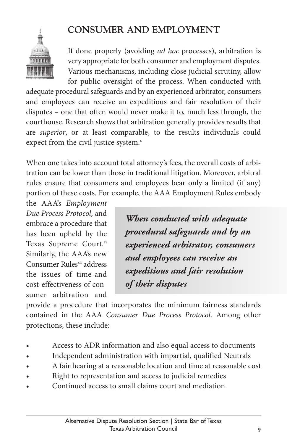#### **CONSUMER AND EMPLOYMENT**

If done properly (avoiding *ad hoc* processes), arbitration is very appropriate for both consumer and employment disputes. Various mechanisms, including close judicial scrutiny, allow for public oversight of the process. When conducted with

adequate procedural safeguards and by an experienced arbitrator, consumers and employees can receive an expeditious and fair resolution of their disputes – one that often would never make it to, much less through, the courthouse. Research shows that arbitration generally provides results that are *superior*, or at least comparable, to the results individuals could expect from the civil justice system.<sup>x</sup>

When one takes into account total attorney's fees, the overall costs of arbitration can be lower than those in traditional litigation. Moreover, arbitral rules ensure that consumers and employees bear only a limited (if any) portion of these costs. For example, the AAA Employment Rules embody

the AAA's *Employment Due Process Protocol*, and embrace a procedure that has been upheld by the Texas Supreme Court.xi Similarly, the AAA's new Consumer Rules<sup>xii</sup> address the issues of time-and cost-effectiveness of consumer arbitration and

*When conducted with adequate procedural safeguards and by an experienced arbitrator, consumers and employees can receive an expeditious and fair resolution of their disputes*

provide a procedure that incorporates the minimum fairness standards contained in the AAA *Consumer Due Process Protocol*. Among other protections, these include:

- Access to ADR information and also equal access to documents
- Independent administration with impartial, qualified Neutrals
- A fair hearing at a reasonable location and time at reasonable cost
- Right to representation and access to judicial remedies
- Continued access to small claims court and mediation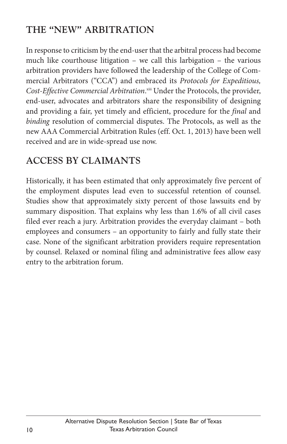#### **THE "NEW" ARBITRATION**

In response to criticism by the end-userthat the arbitral process had become much like courthouse litigation – we call this larbigation – the various arbitration providers have followed the leadership of the College of Commercial Arbitrators ("CCA") and embraced its *Protocols for Expeditious, Cost-Effective Commercial Arbitration*. xiii Under the Protocols, the provider, end-user, advocates and arbitrators share the responsibility of designing and providing a fair, yet timely and efficient, procedure for the *final* and *binding* resolution of commercial disputes. The Protocols, as well as the new AAA Commercial Arbitration Rules (eff. Oct. 1, 2013) have been well received and are in wide-spread use now.

#### **ACCESS BY CLAIMANTS**

Historically, it has been estimated that only approximately five percent of the employment disputes lead even to successful retention of counsel. Studies show that approximately sixty percent of those lawsuits end by summary disposition. That explains why less than 1.6% of all civil cases filed ever reach a jury. Arbitration provides the everyday claimant – both employees and consumers – an opportunity to fairly and fully state their case. None of the significant arbitration providers require representation by counsel. Relaxed or nominal filing and administrative fees allow easy entry to the arbitration forum.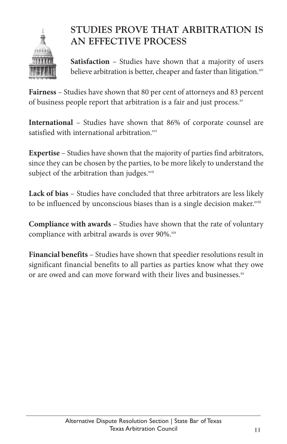

#### **STUDIES PROVE THAT ARBITRATION IS AN EFFECTIVE PROCESS**

**Satisfaction** – Studies have shown that a majority of users believe arbitration is better, cheaper and faster than litigation.<sup>xiv</sup>

**Fairness** – Studies have shown that 80 per cent of attorneys and 83 percent of business people report that arbitration is a fair and just process.<sup>xv</sup>

**International** – Studies have shown that 86% of corporate counsel are satisfied with international arbitration.<sup>xvi</sup>

**Expertise** – Studies have shown that the majority of parties find arbitrators, since they can be chosen by the parties, to be more likely to understand the subject of the arbitration than judges.<sup>xvii</sup>

**Lack of bias** – Studies have concluded that three arbitrators are less likely to be influenced by unconscious biases than is a single decision maker.<sup>xviii</sup>

**Compliance with awards** – Studies have shown that the rate of voluntary compliance with arbitral awards is over 90%. xix

**Financial benefits** – Studies have shown that speedier resolutions result in significant financial benefits to all parties as parties know what they owe or are owed and can move forward with their lives and businesses. $^{xx}$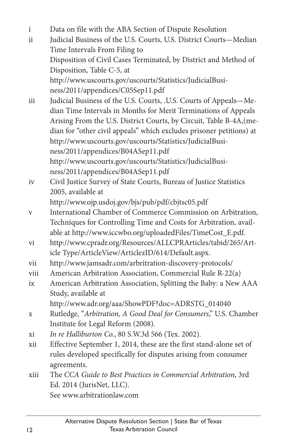- i Data on file with the ABA Section of Dispute Resolution ii Judicial Business of the U.S. Courts, U.S. District Courts—Median Time Intervals From Filing to Disposition of Civil Cases Terminated, by District and Method of Disposition, Table C-5, at http://www.uscourts.gov/uscourts/Statistics/JudicialBusiness/2011/appendices/C05Sep11.pdf
- iii Judicial Business of the U.S. Courts, .U.S. Courts of Appeals—Median Time Intervals in Months for Merit Terminations of Appeals Arising From the U.S. District Courts, by Circuit, Table B-4A,(median for "other civil appeals" which excludes prisoner petitions) at http://www.uscourts.gov/uscourts/Statistics/JudicialBusiness/2011/appendices/B04ASep11.pdf http://www.uscourts.gov/uscourts/Statistics/JudicialBusiness/2011/appendices/B04ASep11.pdf
- iv Civil Justice Survey of State Courts, Bureau of Justice Statistics 2005, available at

http://www.ojp.usdoj.gov/bjs/pub/pdf/cbjtsc05.pdf

- v International Chamber of Commerce Commission on Arbitration, Techniques for Controlling Time and Costs for Arbitration, available at http://www.iccwbo.org/uploadedFiles/TimeCost\_E.pdf.
- vi http://www.cpradr.org/Resources/ALLCPRArticles/tabid/265/Article Type/ArticleView/ArticlezID/614/Default.aspx.
- vii http://www.jamsadr.com/arbritration-discovery-protocols/
- viii American Arbitration Association, Commercial Rule R-22(a)
- ix American Arbitration Association, Splitting the Baby: a New AAA Study, available at

```
http://www.adr.org/aaa/ShowPDF?doc=ADRSTG_014040
```
x Rutledge, "*Arbitration, A Good Deal for Consumers*," U.S. Chamber Institute for Legal Reform (2008).

xi *In re Halliburton Co.*, 80 S.W.3d 566 (Tex. 2002).

- xii Effective September 1, 2014, these are the first stand-alone set of rules developed specifically for disputes arising from consumer agreements.
- xiii The *CCA Guide to Best Practices in Commercial Arbitration*, 3rd Ed. 2014 (JurisNet, LLC). See www.arbitrationlaw.com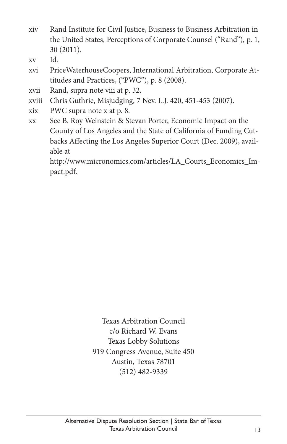- xiv Rand Institute for Civil Justice, Business to Business Arbitration in the United States, Perceptions of Corporate Counsel ("Rand"), p. 1, 30 (2011).
- xv Id.
- xvi PriceWaterhouseCoopers, International Arbitration, Corporate Attitudes and Practices, ("PWC"), p. 8 (2008).
- xvii Rand, supra note viii at p. 32.
- xviii Chris Guthrie, Misjudging, 7 Nev. L.J. 420, 451-453 (2007).
- xix PWC supra note x at p. 8.
- xx See B. Roy Weinstein & Stevan Porter, Economic Impact on the County of Los Angeles and the State of California of Funding Cutbacks Affecting the Los Angeles Superior Court (Dec. 2009), available at

http://www.micronomics.com/articles/LA\_Courts\_Economics\_Impact.pdf.

> Texas Arbitration Council c/o Richard W. Evans Texas Lobby Solutions 919 Congress Avenue, Suite 450 Austin, Texas 78701 (512) 482-9339